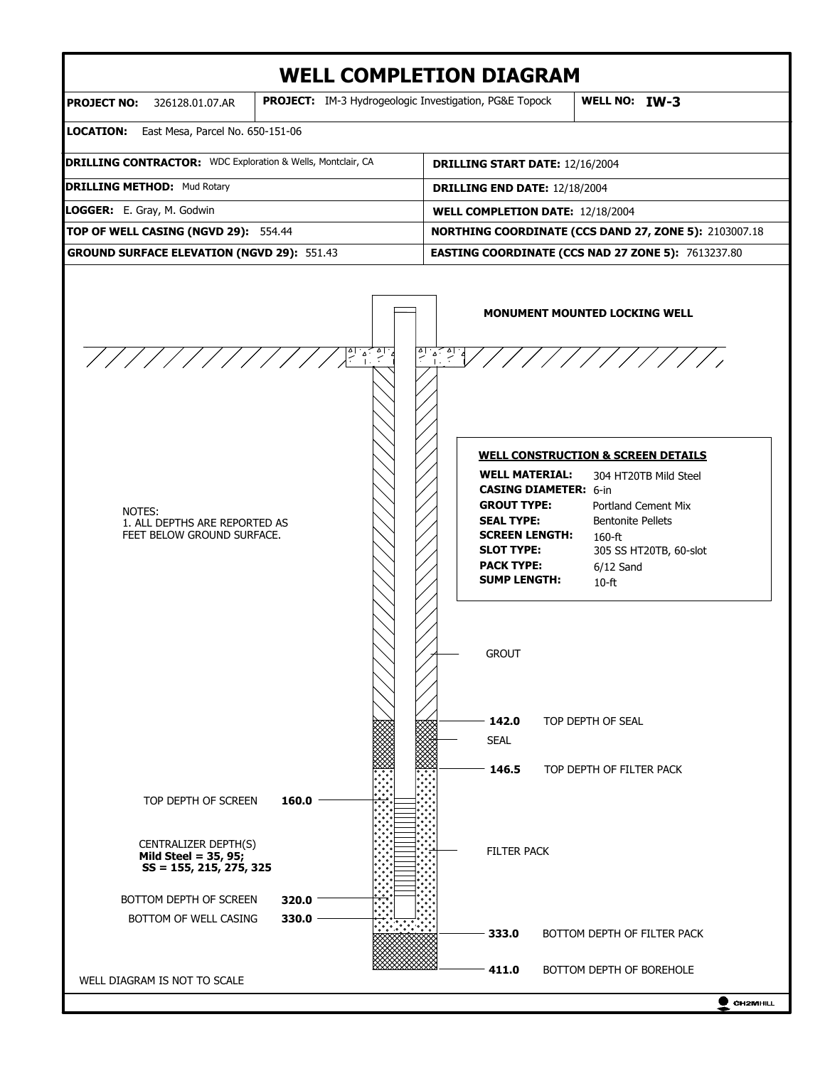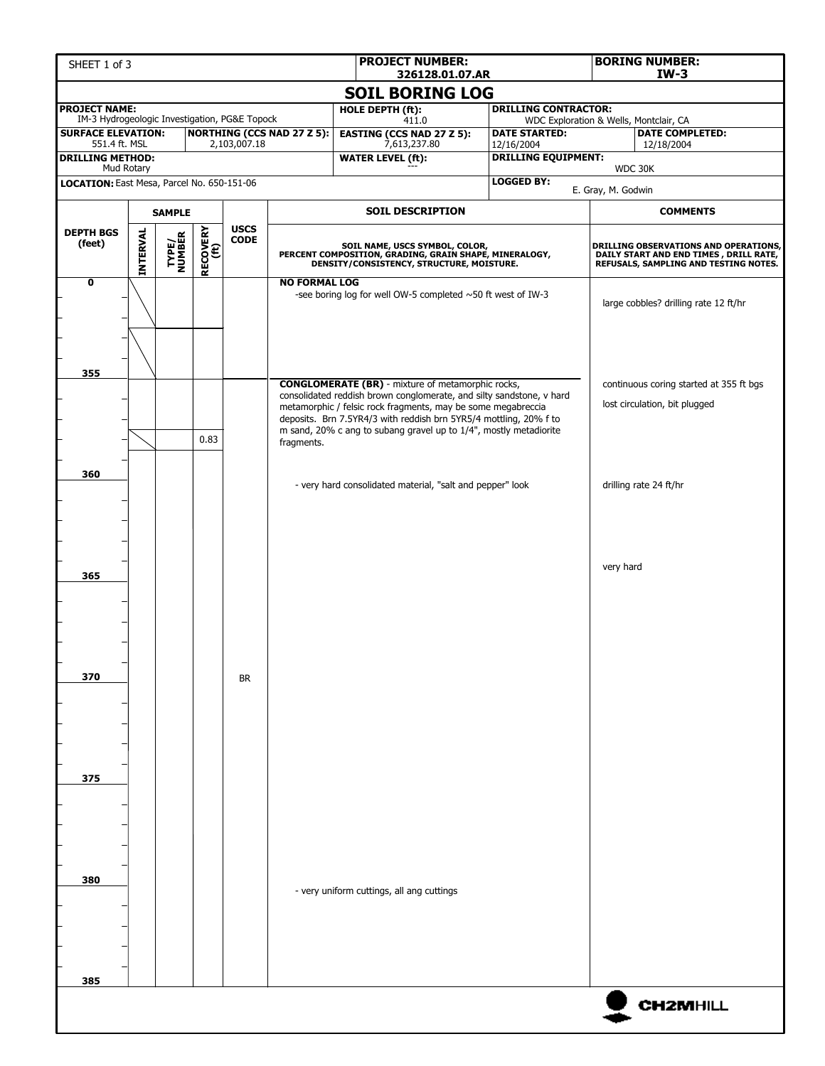| SHEET 1 of 3                                                          |                 |                         |                  |                            |                                   | <b>PROJECT NUMBER:</b><br>326128.01.07.AR                                                                                             | <b>BORING NUMBER:</b><br>$IW-3$          |                                                                                                                          |  |  |  |
|-----------------------------------------------------------------------|-----------------|-------------------------|------------------|----------------------------|-----------------------------------|---------------------------------------------------------------------------------------------------------------------------------------|------------------------------------------|--------------------------------------------------------------------------------------------------------------------------|--|--|--|
|                                                                       |                 |                         |                  |                            |                                   | <b>SOIL BORING LOG</b>                                                                                                                |                                          |                                                                                                                          |  |  |  |
| <b>PROJECT NAME:</b><br>IM-3 Hydrogeologic Investigation, PG&E Topock |                 |                         |                  |                            |                                   | HOLE DEPTH (ft):                                                                                                                      | <b>DRILLING CONTRACTOR:</b>              |                                                                                                                          |  |  |  |
| <b>SURFACE ELEVATION:</b>                                             |                 |                         |                  |                            | <b>NORTHING (CCS NAD 27 Z 5):</b> | 411.0<br><b>EASTING (CCS NAD 27 Z 5):</b>                                                                                             | <b>DATE STARTED:</b>                     | WDC Exploration & Wells, Montclair, CA<br><b>DATE COMPLETED:</b>                                                         |  |  |  |
| 551.4 ft. MSL<br><b>DRILLING METHOD:</b>                              |                 |                         |                  | 2,103,007.18               |                                   | 7,613,237.80<br><b>WATER LEVEL (ft):</b>                                                                                              | 12/16/2004<br><b>DRILLING EQUIPMENT:</b> | 12/18/2004                                                                                                               |  |  |  |
| Mud Rotary<br>LOCATION: East Mesa, Parcel No. 650-151-06              |                 |                         |                  |                            |                                   |                                                                                                                                       | <b>LOGGED BY:</b>                        | WDC 30K                                                                                                                  |  |  |  |
|                                                                       |                 |                         |                  |                            |                                   |                                                                                                                                       | E. Gray, M. Godwin                       |                                                                                                                          |  |  |  |
|                                                                       | <b>SAMPLE</b>   |                         |                  |                            |                                   | <b>SOIL DESCRIPTION</b>                                                                                                               | <b>COMMENTS</b>                          |                                                                                                                          |  |  |  |
| <b>DEPTH BGS</b><br>(feet)                                            | <b>INTERVAL</b> | <b>TYPE/<br/>NUMBER</b> | RECOVERY<br>(ft) | <b>USCS</b><br><b>CODE</b> |                                   | SOIL NAME, USCS SYMBOL, COLOR,<br>PERCENT COMPOSITION, GRADING, GRAIN SHAPE, MINERALOGY,<br>DENSITY/CONSISTENCY, STRUCTURE, MOISTURE. |                                          | DRILLING OBSERVATIONS AND OPERATIONS,<br>DAILY START AND END TIMES, DRILL RATE,<br>REFUSALS, SAMPLING AND TESTING NOTES. |  |  |  |
| $\overline{\mathbf{o}}$                                               |                 |                         |                  |                            | <b>NO FORMAL LOG</b>              | -see boring log for well OW-5 completed ~50 ft west of IW-3                                                                           |                                          | large cobbles? drilling rate 12 ft/hr                                                                                    |  |  |  |
| 355                                                                   |                 |                         |                  |                            |                                   | <b>CONGLOMERATE (BR)</b> - mixture of metamorphic rocks,                                                                              |                                          | continuous coring started at 355 ft bgs                                                                                  |  |  |  |
|                                                                       |                 |                         |                  |                            |                                   | consolidated reddish brown conglomerate, and silty sandstone, v hard<br>metamorphic / felsic rock fragments, may be some megabreccia  |                                          | lost circulation, bit plugged                                                                                            |  |  |  |
|                                                                       |                 |                         |                  |                            |                                   | deposits. Brn 7.5YR4/3 with reddish brn 5YR5/4 mottling, 20% f to                                                                     |                                          |                                                                                                                          |  |  |  |
|                                                                       |                 |                         | 0.83             |                            | fragments.                        | m sand, 20% c ang to subang gravel up to 1/4", mostly metadiorite                                                                     |                                          |                                                                                                                          |  |  |  |
|                                                                       |                 |                         |                  |                            |                                   |                                                                                                                                       |                                          |                                                                                                                          |  |  |  |
| 360                                                                   |                 |                         |                  |                            |                                   | - very hard consolidated material, "salt and pepper" look                                                                             |                                          | drilling rate 24 ft/hr                                                                                                   |  |  |  |
| 365                                                                   |                 |                         |                  |                            |                                   |                                                                                                                                       |                                          | very hard                                                                                                                |  |  |  |
| 370                                                                   |                 |                         |                  | <b>BR</b>                  |                                   |                                                                                                                                       |                                          |                                                                                                                          |  |  |  |
| 375                                                                   |                 |                         |                  |                            |                                   |                                                                                                                                       |                                          |                                                                                                                          |  |  |  |
| 380                                                                   |                 |                         |                  |                            |                                   | - very uniform cuttings, all ang cuttings                                                                                             |                                          |                                                                                                                          |  |  |  |
| 385                                                                   |                 |                         |                  |                            |                                   |                                                                                                                                       |                                          |                                                                                                                          |  |  |  |
|                                                                       |                 |                         |                  |                            |                                   |                                                                                                                                       |                                          | <b>CH2MHILL</b>                                                                                                          |  |  |  |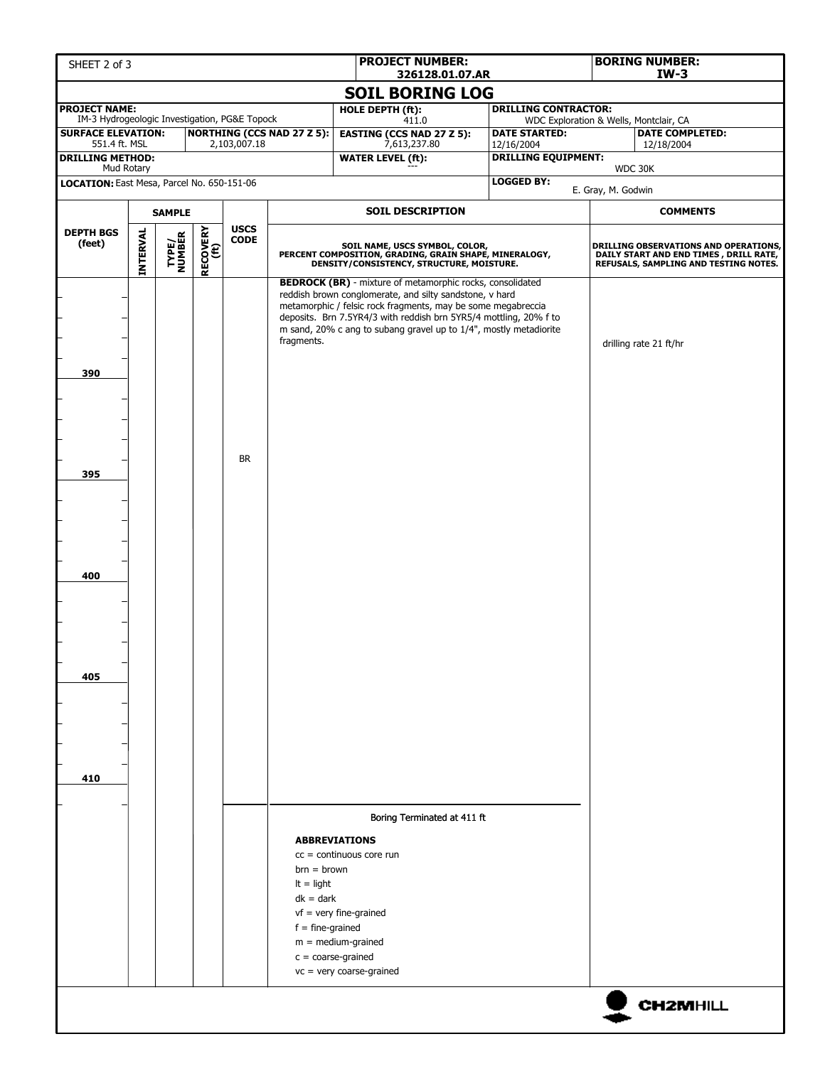| SHEET 2 of 3                                                                                                               |  |               |  |           |                                                                    | <b>PROJECT NUMBER:</b><br>326128.01.07.AR                                                                                                                                                                                                                                                                                             |                                                                | <b>BORING NUMBER:</b><br>$IW-3$ |                                                                                                                          |  |  |
|----------------------------------------------------------------------------------------------------------------------------|--|---------------|--|-----------|--------------------------------------------------------------------|---------------------------------------------------------------------------------------------------------------------------------------------------------------------------------------------------------------------------------------------------------------------------------------------------------------------------------------|----------------------------------------------------------------|---------------------------------|--------------------------------------------------------------------------------------------------------------------------|--|--|
|                                                                                                                            |  |               |  |           |                                                                    | <b>SOIL BORING LOG</b>                                                                                                                                                                                                                                                                                                                |                                                                |                                 |                                                                                                                          |  |  |
| <b>PROJECT NAME:</b>                                                                                                       |  |               |  |           |                                                                    | HOLE DEPTH (ft):                                                                                                                                                                                                                                                                                                                      | <b>DRILLING CONTRACTOR:</b>                                    |                                 |                                                                                                                          |  |  |
| IM-3 Hydrogeologic Investigation, PG&E Topock<br><b>SURFACE ELEVATION:</b><br><b>NORTHING (CCS NAD 27 Z 5):</b>            |  |               |  |           |                                                                    | 411.0<br><b>EASTING (CCS NAD 27 Z 5):</b>                                                                                                                                                                                                                                                                                             | WDC Exploration & Wells, Montclair, CA<br><b>DATE STARTED:</b> |                                 | <b>DATE COMPLETED:</b>                                                                                                   |  |  |
| 551.4 ft. MSL<br>2,103,007.18<br><b>DRILLING METHOD:</b>                                                                   |  |               |  |           |                                                                    | 7,613,237.80<br><b>WATER LEVEL (ft):</b>                                                                                                                                                                                                                                                                                              | 12/16/2004<br><b>DRILLING EQUIPMENT:</b>                       |                                 | 12/18/2004                                                                                                               |  |  |
| Mud Rotary                                                                                                                 |  |               |  |           |                                                                    |                                                                                                                                                                                                                                                                                                                                       |                                                                |                                 | WDC 30K                                                                                                                  |  |  |
| LOCATION: East Mesa, Parcel No. 650-151-06                                                                                 |  |               |  |           |                                                                    |                                                                                                                                                                                                                                                                                                                                       | <b>LOGGED BY:</b>                                              | E. Gray, M. Godwin              |                                                                                                                          |  |  |
|                                                                                                                            |  | <b>SAMPLE</b> |  |           |                                                                    | <b>SOIL DESCRIPTION</b>                                                                                                                                                                                                                                                                                                               |                                                                | <b>COMMENTS</b>                 |                                                                                                                          |  |  |
| <b>USCS</b><br>RECOVERY<br>(ft)<br><b>DEPTH BGS</b><br><b>INTERVAL</b><br><b>TYPE/<br/>NUMBER</b><br><b>CODE</b><br>(feet) |  |               |  |           |                                                                    | SOIL NAME, USCS SYMBOL, COLOR,<br>PERCENT COMPOSITION, GRADING, GRAIN SHAPE, MINERALOGY,<br>DENSITY/CONSISTENCY, STRUCTURE, MOISTURE.                                                                                                                                                                                                 |                                                                |                                 | DRILLING OBSERVATIONS AND OPERATIONS,<br>DAILY START AND END TIMES, DRILL RATE,<br>REFUSALS, SAMPLING AND TESTING NOTES. |  |  |
| 390                                                                                                                        |  |               |  |           | fragments.                                                         | <b>BEDROCK (BR)</b> - mixture of metamorphic rocks, consolidated<br>reddish brown conglomerate, and silty sandstone, v hard<br>metamorphic / felsic rock fragments, may be some megabreccia<br>deposits. Brn 7.5YR4/3 with reddish brn 5YR5/4 mottling, 20% f to<br>m sand, 20% c ang to subang gravel up to 1/4", mostly metadiorite |                                                                |                                 | drilling rate 21 ft/hr                                                                                                   |  |  |
| 395                                                                                                                        |  |               |  | <b>BR</b> |                                                                    |                                                                                                                                                                                                                                                                                                                                       |                                                                |                                 |                                                                                                                          |  |  |
| 400                                                                                                                        |  |               |  |           |                                                                    |                                                                                                                                                                                                                                                                                                                                       |                                                                |                                 |                                                                                                                          |  |  |
| 405                                                                                                                        |  |               |  |           |                                                                    |                                                                                                                                                                                                                                                                                                                                       |                                                                |                                 |                                                                                                                          |  |  |
| 410                                                                                                                        |  |               |  |           |                                                                    |                                                                                                                                                                                                                                                                                                                                       |                                                                |                                 |                                                                                                                          |  |  |
|                                                                                                                            |  |               |  |           |                                                                    | Boring Terminated at 411 ft                                                                                                                                                                                                                                                                                                           |                                                                |                                 |                                                                                                                          |  |  |
|                                                                                                                            |  |               |  |           | $brn = brown$<br>$It = light$<br>$dk = dark$<br>$f = fine-grained$ | <b>ABBREVIATIONS</b><br>$cc =$ continuous core run<br>$vf = very fine-grained$<br>$m = medium-grained$<br>$c = coarse-grained$<br>$vc = very coarse-grained$                                                                                                                                                                          |                                                                |                                 |                                                                                                                          |  |  |
|                                                                                                                            |  |               |  |           |                                                                    |                                                                                                                                                                                                                                                                                                                                       |                                                                |                                 | <b>CH2MHILL</b>                                                                                                          |  |  |